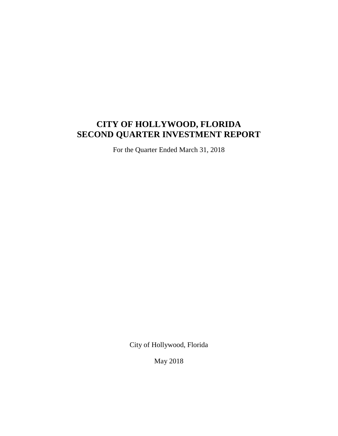# **CITY OF HOLLYWOOD, FLORIDA SECOND QUARTER INVESTMENT REPORT**

For the Quarter Ended March 31, 2018

City of Hollywood, Florida

May 2018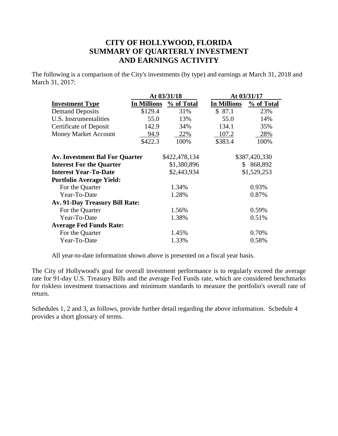# **CITY OF HOLLYWOOD, FLORIDA SUMMARY OF QUARTERLY INVESTMENT AND EARNINGS ACTIVITY**

The following is a comparison of the City's investments (by type) and earnings at March 31, 2018 and March 31, 2017:

|                                       |             | At 03/31/18                | At 03/31/17        |               |  |  |  |
|---------------------------------------|-------------|----------------------------|--------------------|---------------|--|--|--|
| <b>Investment Type</b>                | In Millions | % of Total                 | <b>In Millions</b> | % of Total    |  |  |  |
| <b>Demand Deposits</b>                | \$129.4     | 31%                        | \$87.1             | 23%           |  |  |  |
| U.S. Instrumentalities                | 55.0        | 13%                        | 55.0               | 14%           |  |  |  |
| <b>Certificate of Deposit</b>         | 142.9       | 34%                        | 134.1              | 35%           |  |  |  |
| <b>Money Market Account</b>           | 94.9        | 22%                        | 107.2              | 28%           |  |  |  |
|                                       | \$422.3     | 100%                       | \$383.4            | 100%          |  |  |  |
|                                       |             |                            |                    |               |  |  |  |
| <b>Av. Investment Bal For Quarter</b> |             | \$422,478,134              |                    | \$387,420,330 |  |  |  |
| <b>Interest For the Quarter</b>       |             | \$1,380,896                | 868,892<br>S.      |               |  |  |  |
| <b>Interest Year-To-Date</b>          |             | \$2,443,934<br>\$1,529,253 |                    |               |  |  |  |
| <b>Portfolio Average Yield:</b>       |             |                            |                    |               |  |  |  |
| For the Quarter                       |             | 1.34%                      |                    | 0.93%         |  |  |  |
| Year-To-Date                          |             | 1.28%                      |                    | 0.87%         |  |  |  |
| Av. 91-Day Treasury Bill Rate:        |             |                            |                    |               |  |  |  |
| For the Quarter                       |             | 1.56%                      |                    | 0.59%         |  |  |  |
| Year-To-Date                          |             | 1.38%                      |                    | 0.51%         |  |  |  |
| <b>Average Fed Funds Rate:</b>        |             |                            |                    |               |  |  |  |
| For the Quarter                       |             | 1.45%                      |                    | 0.70%         |  |  |  |
| Year-To-Date                          |             | 1.33%                      |                    | 0.58%         |  |  |  |
|                                       |             |                            |                    |               |  |  |  |

All year-to-date information shown above is presented on a fiscal year basis.

The City of Hollywood's goal for overall investment performance is to regularly exceed the average rate for 91-day U.S. Treasury Bills and the average Fed Funds rate, which are considered benchmarks for riskless investment transactions and minimum standards to measure the portfolio's overall rate of return.

Schedules 1, 2 and 3, as follows, provide further detail regarding the above information. Schedule 4 provides a short glossary of terms.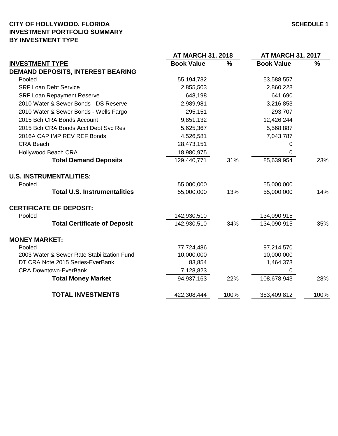### **CITY OF HOLLYWOOD, FLORIDA SCHEDULE 1 INVESTMENT PORTFOLIO SUMMARY BY INVESTMENT TYPE**

|                   |                                         | <b>AT MARCH 31, 2017</b> |                                         |  |
|-------------------|-----------------------------------------|--------------------------|-----------------------------------------|--|
| <b>Book Value</b> | %                                       | <b>Book Value</b>        | $\%$                                    |  |
|                   |                                         |                          |                                         |  |
| 55,194,732        |                                         | 53,588,557               |                                         |  |
| 2,855,503         |                                         | 2,860,228                |                                         |  |
| 648,198           |                                         | 641,690                  |                                         |  |
| 2,989,981         |                                         | 3,216,853                |                                         |  |
| 295,151           |                                         | 293,707                  |                                         |  |
| 9,851,132         |                                         | 12,426,244               |                                         |  |
| 5,625,367         |                                         | 5,568,887                |                                         |  |
| 4,526,581         |                                         | 7,043,787                |                                         |  |
| 28,473,151        |                                         | 0                        |                                         |  |
| 18,980,975        |                                         | 0                        |                                         |  |
| 129,440,771       | 31%                                     | 85,639,954               | 23%                                     |  |
|                   |                                         |                          |                                         |  |
|                   |                                         |                          |                                         |  |
| 55,000,000        | 13%                                     | 55,000,000               | 14%                                     |  |
|                   |                                         |                          |                                         |  |
|                   |                                         |                          |                                         |  |
| 142,930,510       | 34%                                     | 134,090,915              | 35%                                     |  |
|                   |                                         |                          |                                         |  |
|                   |                                         |                          |                                         |  |
| 10,000,000        |                                         | 10,000,000               |                                         |  |
| 83,854            |                                         | 1,464,373                |                                         |  |
| 7,128,823         |                                         | 0                        |                                         |  |
| 94,937,163        | 22%                                     | 108,678,943              | 28%                                     |  |
| 422,308,444       | 100%                                    | 383,409,812              | 100%                                    |  |
|                   | 55,000,000<br>142,930,510<br>77,724,486 | <b>AT MARCH 31, 2018</b> | 55,000,000<br>134,090,915<br>97,214,570 |  |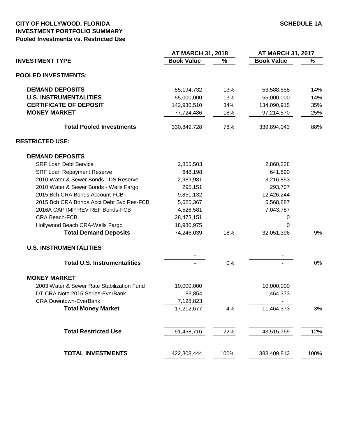#### **CITY OF HOLLYWOOD, FLORIDA SCHEDULE 1A INVESTMENT PORTFOLIO SUMMARY Pooled Investments vs. Restricted Use**

|                                            | <b>AT MARCH 31, 2018</b> |      | <b>AT MARCH 31, 2017</b> |      |  |
|--------------------------------------------|--------------------------|------|--------------------------|------|--|
| <b>INVESTMENT TYPE</b>                     | <b>Book Value</b>        | %    | <b>Book Value</b>        | %    |  |
| <b>POOLED INVESTMENTS:</b>                 |                          |      |                          |      |  |
| <b>DEMAND DEPOSITS</b>                     | 55,194,732               | 13%  | 53,588,558               | 14%  |  |
| <b>U.S. INSTRUMENTALITIES</b>              | 55,000,000               | 13%  | 55,000,000               | 14%  |  |
| <b>CERTIFICATE OF DEPOSIT</b>              | 142,930,510              | 34%  | 134,090,915              | 35%  |  |
| <b>MONEY MARKET</b>                        | 77,724,486               | 18%  | 97,214,570               | 25%  |  |
| <b>Total Pooled Investments</b>            | 330,849,728              | 78%  | 339,894,043              | 88%  |  |
| <b>RESTRICTED USE:</b>                     |                          |      |                          |      |  |
| <b>DEMAND DEPOSITS</b>                     |                          |      |                          |      |  |
| <b>SRF Loan Debt Service</b>               | 2,855,503                |      | 2,860,228                |      |  |
| <b>SRF Loan Repayment Reserve</b>          | 648,198                  |      | 641,690                  |      |  |
| 2010 Water & Sewer Bonds - DS Reserve      | 2,989,981                |      | 3,216,853                |      |  |
| 2010 Water & Sewer Bonds - Wells Fargo     | 295,151                  |      | 293,707                  |      |  |
| 2015 Bch CRA Bonds Account-FCB             | 9,851,132                |      | 12,426,244               |      |  |
| 2015 Bch CRA Bonds Acct Debt Svc Res-FCB   | 5,625,367                |      | 5,568,887                |      |  |
| 2016A CAP IMP REV REF Bonds-FCB            | 4,526,581                |      | 7,043,787                |      |  |
| CRA Beach-FCB                              | 28,473,151               |      | 0                        |      |  |
| Hollywood Beach CRA-Wells Fargo            | 18,980,975               |      | 0                        |      |  |
| <b>Total Demand Deposits</b>               | 74,246,039               | 18%  | 32,051,396               | 9%   |  |
| <b>U.S. INSTRUMENTALITIES</b>              |                          |      |                          |      |  |
|                                            |                          |      |                          |      |  |
| <b>Total U.S. Instrumentalities</b>        |                          | 0%   |                          | 0%   |  |
| <b>MONEY MARKET</b>                        |                          |      |                          |      |  |
| 2003 Water & Sewer Rate Stabilization Fund | 10,000,000               |      | 10,000,000               |      |  |
| DT CRA Note 2015 Series-EverBank           | 83,854                   |      | 1,464,373                |      |  |
| <b>CRA Downtown-EverBank</b>               | 7,128,823                |      |                          |      |  |
| <b>Total Money Market</b>                  | 17,212,677               | 4%   | 11,464,373               | 3%   |  |
| <b>Total Restricted Use</b>                | 91,458,716               | 22%  | 43,515,769               | 12%  |  |
|                                            |                          |      |                          |      |  |
| <b>TOTAL INVESTMENTS</b>                   | 422,308,444              | 100% | 383,409,812              | 100% |  |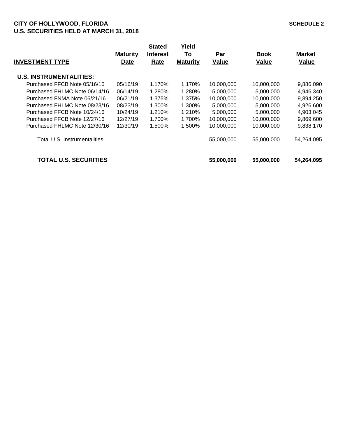## **CITY OF HOLLYWOOD, FLORIDA SCHEDULE 2 U.S. SECURITIES HELD AT MARCH 31, 2018**

| <b>INVESTMENT TYPE</b>         | <b>Maturity</b><br><b>Date</b> | <b>Stated</b><br><b>Interest</b><br>Rate | Yield<br>To<br><b>Maturity</b> | Par<br><b>Value</b> | <b>Book</b><br><b>Value</b> | <b>Market</b><br><b>Value</b> |
|--------------------------------|--------------------------------|------------------------------------------|--------------------------------|---------------------|-----------------------------|-------------------------------|
| <b>U.S. INSTRUMENTALITIES:</b> |                                |                                          |                                |                     |                             |                               |
| Purchased FFCB Note 05/16/16   | 05/16/19                       | 1.170%                                   | 1.170%                         | 10,000,000          | 10,000,000                  | 9,886,090                     |
| Purchased FHLMC Note 06/14/16  | 06/14/19                       | 1.280%                                   | 1.280%                         | 5,000,000           | 5.000.000                   | 4,946,340                     |
| Purchased FNMA Note 06/21/16   | 06/21/19                       | 1.375%                                   | 1.375%                         | 10,000,000          | 10,000,000                  | 9,894,250                     |
| Purchased FHLMC Note 08/23/16  | 08/23/19                       | 1.300%                                   | 1.300%                         | 5,000,000           | 5,000,000                   | 4,926,600                     |
| Purchased FFCB Note 10/24/16   | 10/24/19                       | 1.210%                                   | 1.210%                         | 5,000,000           | 5.000.000                   | 4,903,045                     |
| Purchased FFCB Note 12/27/16   | 12/27/19                       | 1.700%                                   | 1.700%                         | 10,000,000          | 10,000,000                  | 9,869,600                     |
| Purchased FHLMC Note 12/30/16  | 12/30/19                       | 1.500%                                   | 1.500%                         | 10,000,000          | 10,000,000                  | 9,838,170                     |
| Total U.S. Instrumentalities   |                                |                                          |                                | 55,000,000          | 55,000,000                  | 54,264,095                    |
| <b>TOTAL U.S. SECURITIES</b>   |                                |                                          |                                | 55,000,000          | 55,000,000                  | 54,264,095                    |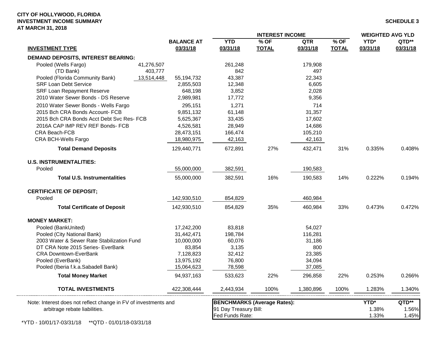|                                                                 |            |                   | <b>INTEREST INCOME</b>                   |              |            |              | <b>WEIGHTED AVG YLD</b> |                |
|-----------------------------------------------------------------|------------|-------------------|------------------------------------------|--------------|------------|--------------|-------------------------|----------------|
|                                                                 |            | <b>BALANCE AT</b> | <b>YTD</b>                               | $%$ OF       | <b>QTR</b> | $%$ OF       | YTD*                    | QTD**          |
| <b>INVESTMENT TYPE</b>                                          |            | 03/31/18          | 03/31/18                                 | <b>TOTAL</b> | 03/31/18   | <b>TOTAL</b> | 03/31/18                | 03/31/18       |
| <b>DEMAND DEPOSITS, INTEREST BEARING:</b>                       |            |                   |                                          |              |            |              |                         |                |
| Pooled (Wells Fargo)                                            | 41,276,507 |                   | 261,248                                  |              | 179,908    |              |                         |                |
| (TD Bank)                                                       | 403,777    |                   | 842                                      |              | 497        |              |                         |                |
| Pooled (Florida Community Bank)                                 | 13,514,448 | 55,194,732        | 43,387                                   |              | 22,343     |              |                         |                |
| <b>SRF Loan Debt Service</b>                                    |            | 2,855,503         | 12,348                                   |              | 6,605      |              |                         |                |
| <b>SRF Loan Repayment Reserve</b>                               |            | 648,198           | 3,852                                    |              | 2,028      |              |                         |                |
| 2010 Water Sewer Bonds - DS Reserve                             |            | 2,989,981         | 17,772                                   |              | 9,356      |              |                         |                |
| 2010 Water Sewer Bonds - Wells Fargo                            |            | 295,151           | 1,271                                    |              | 714        |              |                         |                |
| 2015 Bch CRA Bonds Account- FCB                                 |            | 9,851,132         | 61,148                                   |              | 31,357     |              |                         |                |
| 2015 Bch CRA Bonds Acct Debt Svc Res- FCB                       |            | 5,625,367         | 33,435                                   |              | 17,602     |              |                         |                |
| 2016A CAP IMP REV REF Bonds- FCB                                |            | 4,526,581         | 28,949                                   |              | 14,686     |              |                         |                |
| CRA Beach-FCB                                                   |            | 28,473,151        | 166,474                                  |              | 105,210    |              |                         |                |
| CRA BCH-Wells Fargo                                             |            | 18,980,975        | 42,163                                   |              | 42,163     |              |                         |                |
| <b>Total Demand Deposits</b>                                    |            | 129,440,771       | 672,891                                  | 27%          | 432,471    | 31%          | 0.335%                  | 0.408%         |
| <b>U.S. INSTRUMENTALITIES:</b>                                  |            |                   |                                          |              |            |              |                         |                |
| Pooled                                                          |            | 55,000,000        | 382,591                                  |              | 190,583    |              |                         |                |
| <b>Total U.S. Instrumentalities</b>                             |            | 55,000,000        | 382,591                                  | 16%          | 190,583    | 14%          | 0.222%                  | 0.194%         |
| <b>CERTIFICATE OF DEPOSIT;</b>                                  |            |                   |                                          |              |            |              |                         |                |
| Pooled                                                          |            | 142,930,510       | 854,829                                  |              | 460,984    |              |                         |                |
| <b>Total Certificate of Deposit</b>                             |            | 142,930,510       | 854,829                                  | 35%          | 460,984    | 33%          | 0.473%                  | 0.472%         |
| <b>MONEY MARKET:</b>                                            |            |                   |                                          |              |            |              |                         |                |
| Pooled (BankUnited)                                             |            | 17,242,200        | 83,818                                   |              | 54,027     |              |                         |                |
| Pooled (City National Bank)                                     |            | 31,442,471        | 198,784                                  |              | 116,281    |              |                         |                |
| 2003 Water & Sewer Rate Stabilization Fund                      |            | 10,000,000        | 60,076                                   |              | 31,186     |              |                         |                |
| DT CRA Note 2015 Series- EverBank                               |            | 83,854            | 3,135                                    |              | 800        |              |                         |                |
| <b>CRA Downtown-EverBank</b>                                    |            | 7,128,823         | 32,412                                   |              | 23,385     |              |                         |                |
| Pooled (EverBank)                                               |            | 13,975,192        | 76,800                                   |              | 34,094     |              |                         |                |
| Pooled (Iberia f.k.a.Sabadell Bank)                             |            | 15,064,623        | 78,598                                   |              | 37,085     |              |                         |                |
| <b>Total Money Market</b>                                       |            | 94,937,163        | 533,623                                  | 22%          | 296,858    | 22%          | 0.253%                  | 0.266%         |
| <b>TOTAL INVESTMENTS</b>                                        |            | 422,308,444       | 2,443,934                                | 100%         | 1,380,896  | 100%         | 1.283%                  | 1.340%         |
| Note: Interest does not reflect change in FV of investments and |            |                   | <b>BENCHMARKS (Average Rates):</b>       |              |            |              | YTD*                    | QTD**          |
| arbitrage rebate liabilities.                                   |            |                   | 91 Day Treasury Bill:<br>Fed Funds Rate: |              |            |              | 1.38%<br>1.33%          | 1.56%<br>1.45% |

 $\sim$  –  $\sim$